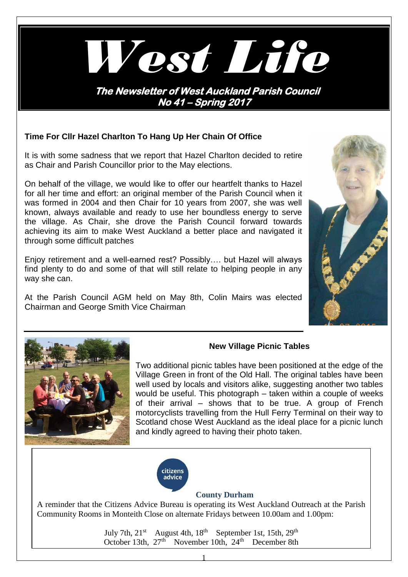

# **Time For Cllr Hazel Charlton To Hang Up Her Chain Of Office**

It is with some sadness that we report that Hazel Charlton decided to retire as Chair and Parish Councillor prior to the May elections.

On behalf of the village, we would like to offer our heartfelt thanks to Hazel for all her time and effort: an original member of the Parish Council when it was formed in 2004 and then Chair for 10 years from 2007, she was well known, always available and ready to use her boundless energy to serve the village. As Chair, she drove the Parish Council forward towards achieving its aim to make West Auckland a better place and navigated it through some difficult patches

Enjoy retirement and a well-earned rest? Possibly…. but Hazel will always find plenty to do and some of that will still relate to helping people in any way she can.

At the Parish Council AGM held on May 8th, Colin Mairs was elected Chairman and George Smith Vice Chairman





## **New Village Picnic Tables**

Two additional picnic tables have been positioned at the edge of the Village Green in front of the Old Hall. The original tables have been well used by locals and visitors alike, suggesting another two tables would be useful. This photograph – taken within a couple of weeks of their arrival – shows that to be true. A group of French motorcyclists travelling from the Hull Ferry Terminal on their way to Scotland chose West Auckland as the ideal place for a picnic lunch and kindly agreed to having their photo taken.



## **County Durham**

A reminder that the Citizens Advice Bureau is operating its West Auckland Outreach at the Parish Community Rooms in Monteith Close on alternate Fridays between 10.00am and 1.00pm:

> July 7th,  $21^{st}$  August 4th,  $18^{th}$  September 1st, 15th,  $29^{th}$ October 13th,  $27<sup>th</sup>$  November 10th,  $24<sup>th</sup>$  December 8th